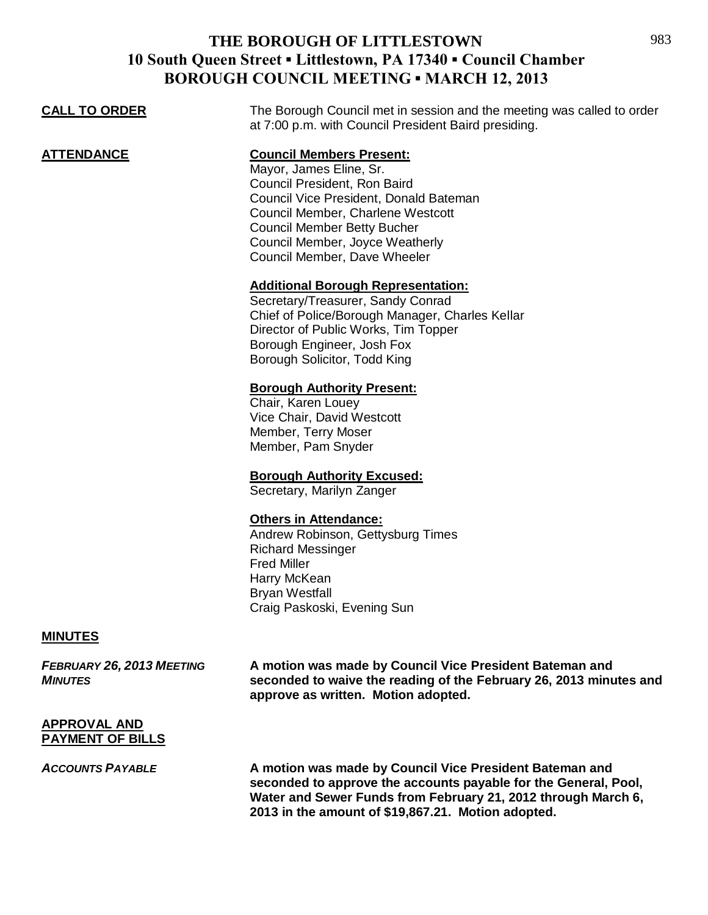| <b>CALL TO ORDER</b> | The Borough Council met in session and the meeting was called to order<br>at 7:00 p.m. with Council President Baird presiding.                                                                                                                                                     |
|----------------------|------------------------------------------------------------------------------------------------------------------------------------------------------------------------------------------------------------------------------------------------------------------------------------|
| <b>ATTENDANCE</b>    | <b>Council Members Present:</b><br>Mayor, James Eline, Sr.<br>Council President, Ron Baird<br>Council Vice President, Donald Bateman<br>Council Member, Charlene Westcott<br><b>Council Member Betty Bucher</b><br>Council Member, Joyce Weatherly<br>Council Member, Dave Wheeler |
|                      | <b>Additional Borough Representation:</b><br>Secretary/Treasurer, Sandy Conrad<br>Chief of Police/Borough Manager, Charles Kellar<br>Director of Public Works, Tim Topper<br>Borough Engineer, Josh Fox<br>Borough Solicitor, Todd King                                            |
|                      | <b>Borough Authority Present:</b><br>Chair, Karen Louey<br>Vice Chair, David Westcott<br>Member, Terry Moser<br>Member, Pam Snyder                                                                                                                                                 |
|                      | <b>Borough Authority Excused:</b><br>Secretary, Marilyn Zanger                                                                                                                                                                                                                     |
|                      | <b>Others in Attendance:</b><br>Andrew Robinson, Gettysburg Times<br><b>Richard Messinger</b><br><b>Fred Miller</b><br>Harry McKean<br><b>Bryan Westfall</b><br>Craig Paskoski, Evening Sun                                                                                        |
| <b>MINUTES</b>       |                                                                                                                                                                                                                                                                                    |
|                      |                                                                                                                                                                                                                                                                                    |

*FEBRUARY 26, 2013 MEETING* **A motion was made by Council Vice President Bateman and**  *MINUTES* **seconded to waive the reading of the February 26, 2013 minutes and approve as written. Motion adopted.**

### **APPROVAL AND PAYMENT OF BILLS**

*ACCOUNTS PAYABLE* **A motion was made by Council Vice President Bateman and seconded to approve the accounts payable for the General, Pool, Water and Sewer Funds from February 21, 2012 through March 6, 2013 in the amount of \$19,867.21. Motion adopted.**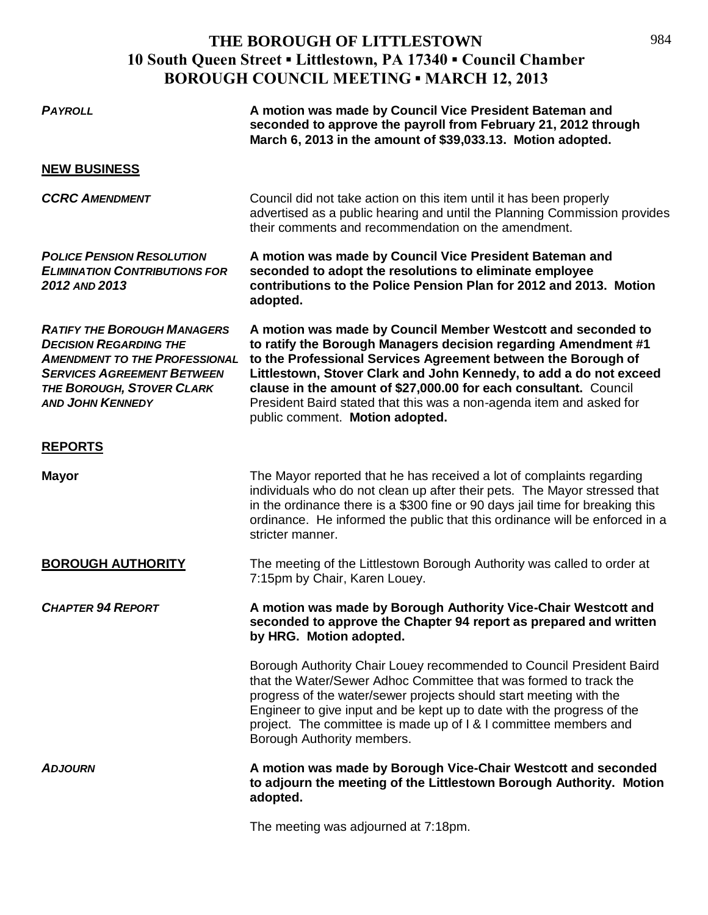| <b>PAYROLL</b>                                                                                                                                                                                           | A motion was made by Council Vice President Bateman and<br>seconded to approve the payroll from February 21, 2012 through<br>March 6, 2013 in the amount of \$39,033.13. Motion adopted.                                                                                                                                                                                                                                                             |
|----------------------------------------------------------------------------------------------------------------------------------------------------------------------------------------------------------|------------------------------------------------------------------------------------------------------------------------------------------------------------------------------------------------------------------------------------------------------------------------------------------------------------------------------------------------------------------------------------------------------------------------------------------------------|
| <b>NEW BUSINESS</b>                                                                                                                                                                                      |                                                                                                                                                                                                                                                                                                                                                                                                                                                      |
| <b>CCRC AMENDMENT</b>                                                                                                                                                                                    | Council did not take action on this item until it has been properly<br>advertised as a public hearing and until the Planning Commission provides<br>their comments and recommendation on the amendment.                                                                                                                                                                                                                                              |
| <b>POLICE PENSION RESOLUTION</b><br><b>ELIMINATION CONTRIBUTIONS FOR</b><br>2012 AND 2013                                                                                                                | A motion was made by Council Vice President Bateman and<br>seconded to adopt the resolutions to eliminate employee<br>contributions to the Police Pension Plan for 2012 and 2013. Motion<br>adopted.                                                                                                                                                                                                                                                 |
| <b>RATIFY THE BOROUGH MANAGERS</b><br><b>DECISION REGARDING THE</b><br><b>AMENDMENT TO THE PROFESSIONAL</b><br><b>SERVICES AGREEMENT BETWEEN</b><br>THE BOROUGH, STOVER CLARK<br><b>AND JOHN KENNEDY</b> | A motion was made by Council Member Westcott and seconded to<br>to ratify the Borough Managers decision regarding Amendment #1<br>to the Professional Services Agreement between the Borough of<br>Littlestown, Stover Clark and John Kennedy, to add a do not exceed<br>clause in the amount of \$27,000.00 for each consultant. Council<br>President Baird stated that this was a non-agenda item and asked for<br>public comment. Motion adopted. |
| <b>REPORTS</b>                                                                                                                                                                                           |                                                                                                                                                                                                                                                                                                                                                                                                                                                      |
| <b>Mayor</b>                                                                                                                                                                                             | The Mayor reported that he has received a lot of complaints regarding<br>individuals who do not clean up after their pets. The Mayor stressed that<br>in the ordinance there is a \$300 fine or 90 days jail time for breaking this<br>ordinance. He informed the public that this ordinance will be enforced in a<br>stricter manner.                                                                                                               |
| <b>BOROUGH AUTHORITY</b>                                                                                                                                                                                 | The meeting of the Littlestown Borough Authority was called to order at<br>7:15pm by Chair, Karen Louey.                                                                                                                                                                                                                                                                                                                                             |
| <b>CHAPTER 94 REPORT</b>                                                                                                                                                                                 | A motion was made by Borough Authority Vice-Chair Westcott and<br>seconded to approve the Chapter 94 report as prepared and written<br>by HRG. Motion adopted.                                                                                                                                                                                                                                                                                       |
|                                                                                                                                                                                                          | Borough Authority Chair Louey recommended to Council President Baird<br>that the Water/Sewer Adhoc Committee that was formed to track the<br>progress of the water/sewer projects should start meeting with the<br>Engineer to give input and be kept up to date with the progress of the<br>project. The committee is made up of I & I committee members and<br>Borough Authority members.                                                          |
| <b>ADJOURN</b>                                                                                                                                                                                           | A motion was made by Borough Vice-Chair Westcott and seconded<br>to adjourn the meeting of the Littlestown Borough Authority. Motion<br>adopted.                                                                                                                                                                                                                                                                                                     |
|                                                                                                                                                                                                          | reading uses adjourned at 7.40 pm                                                                                                                                                                                                                                                                                                                                                                                                                    |

The meeting was adjourned at 7:18pm.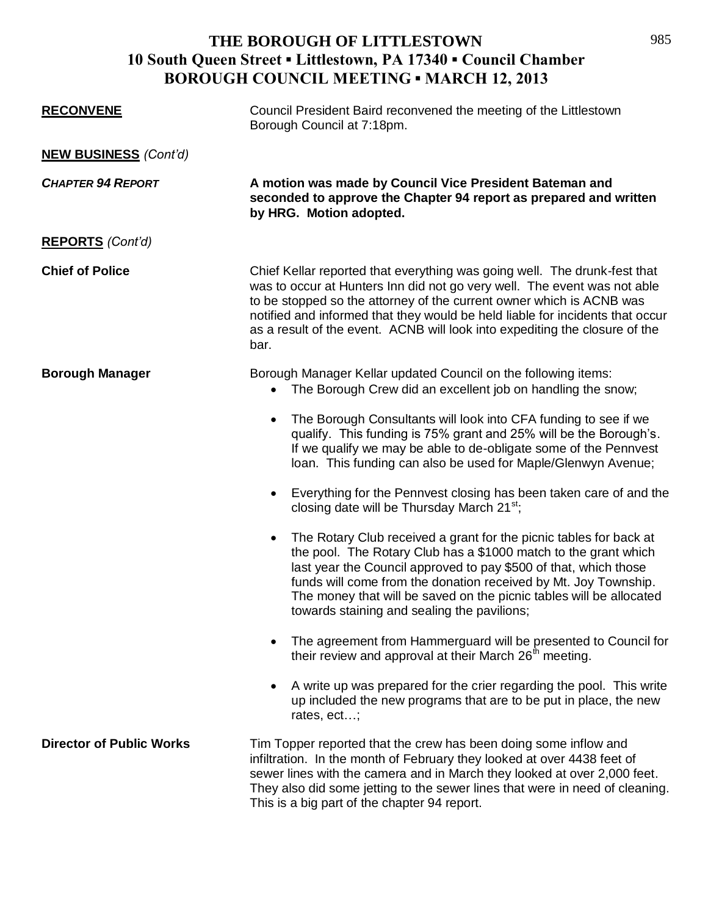| <b>RECONVENE</b>                | Council President Baird reconvened the meeting of the Littlestown<br>Borough Council at 7:18pm.                                                                                                                                                                                                                                                                                                                 |
|---------------------------------|-----------------------------------------------------------------------------------------------------------------------------------------------------------------------------------------------------------------------------------------------------------------------------------------------------------------------------------------------------------------------------------------------------------------|
| <b>NEW BUSINESS</b> (Cont'd)    |                                                                                                                                                                                                                                                                                                                                                                                                                 |
| <b>CHAPTER 94 REPORT</b>        | A motion was made by Council Vice President Bateman and<br>seconded to approve the Chapter 94 report as prepared and written<br>by HRG. Motion adopted.                                                                                                                                                                                                                                                         |
| <b>REPORTS</b> (Cont'd)         |                                                                                                                                                                                                                                                                                                                                                                                                                 |
| <b>Chief of Police</b>          | Chief Kellar reported that everything was going well. The drunk-fest that<br>was to occur at Hunters Inn did not go very well. The event was not able<br>to be stopped so the attorney of the current owner which is ACNB was<br>notified and informed that they would be held liable for incidents that occur<br>as a result of the event. ACNB will look into expediting the closure of the<br>bar.           |
| <b>Borough Manager</b>          | Borough Manager Kellar updated Council on the following items:<br>The Borough Crew did an excellent job on handling the snow;                                                                                                                                                                                                                                                                                   |
|                                 | The Borough Consultants will look into CFA funding to see if we<br>$\bullet$<br>qualify. This funding is 75% grant and 25% will be the Borough's.<br>If we qualify we may be able to de-obligate some of the Pennvest<br>loan. This funding can also be used for Maple/Glenwyn Avenue;                                                                                                                          |
|                                 | Everything for the Pennvest closing has been taken care of and the<br>$\bullet$<br>closing date will be Thursday March 21 <sup>st</sup> ;                                                                                                                                                                                                                                                                       |
|                                 | The Rotary Club received a grant for the picnic tables for back at<br>$\bullet$<br>the pool. The Rotary Club has a \$1000 match to the grant which<br>last year the Council approved to pay \$500 of that, which those<br>funds will come from the donation received by Mt. Joy Township.<br>The money that will be saved on the picnic tables will be allocated<br>towards staining and sealing the pavilions; |
|                                 | The agreement from Hammerguard will be presented to Council for<br>their review and approval at their March 26 <sup>th</sup> meeting.                                                                                                                                                                                                                                                                           |
|                                 | A write up was prepared for the crier regarding the pool. This write<br>up included the new programs that are to be put in place, the new<br>rates, ect;                                                                                                                                                                                                                                                        |
| <b>Director of Public Works</b> | Tim Topper reported that the crew has been doing some inflow and<br>infiltration. In the month of February they looked at over 4438 feet of<br>sewer lines with the camera and in March they looked at over 2,000 feet.<br>They also did some jetting to the sewer lines that were in need of cleaning.<br>This is a big part of the chapter 94 report.                                                         |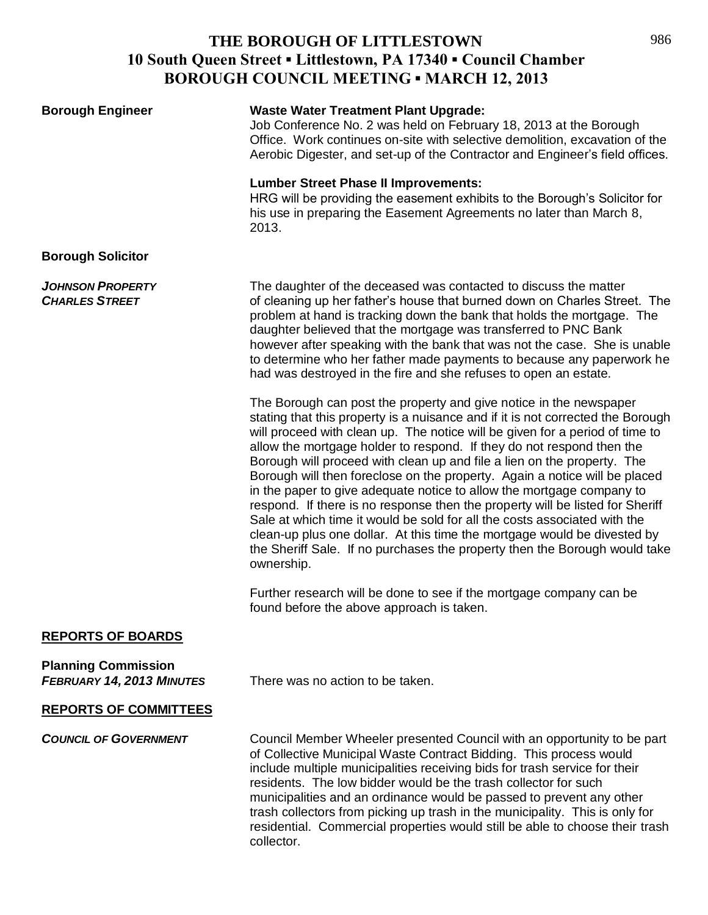| <b>Borough Engineer</b>                                        | <b>Waste Water Treatment Plant Upgrade:</b><br>Job Conference No. 2 was held on February 18, 2013 at the Borough<br>Office. Work continues on-site with selective demolition, excavation of the<br>Aerobic Digester, and set-up of the Contractor and Engineer's field offices.                                                                                                                                                                                                                                                                                                                                                                                                                                                                                                                                                                                                        |
|----------------------------------------------------------------|----------------------------------------------------------------------------------------------------------------------------------------------------------------------------------------------------------------------------------------------------------------------------------------------------------------------------------------------------------------------------------------------------------------------------------------------------------------------------------------------------------------------------------------------------------------------------------------------------------------------------------------------------------------------------------------------------------------------------------------------------------------------------------------------------------------------------------------------------------------------------------------|
|                                                                | <b>Lumber Street Phase II Improvements:</b><br>HRG will be providing the easement exhibits to the Borough's Solicitor for<br>his use in preparing the Easement Agreements no later than March 8,<br>2013.                                                                                                                                                                                                                                                                                                                                                                                                                                                                                                                                                                                                                                                                              |
| <b>Borough Solicitor</b>                                       |                                                                                                                                                                                                                                                                                                                                                                                                                                                                                                                                                                                                                                                                                                                                                                                                                                                                                        |
| <b>JOHNSON PROPERTY</b><br><b>CHARLES STREET</b>               | The daughter of the deceased was contacted to discuss the matter<br>of cleaning up her father's house that burned down on Charles Street. The<br>problem at hand is tracking down the bank that holds the mortgage. The<br>daughter believed that the mortgage was transferred to PNC Bank<br>however after speaking with the bank that was not the case. She is unable<br>to determine who her father made payments to because any paperwork he<br>had was destroyed in the fire and she refuses to open an estate.                                                                                                                                                                                                                                                                                                                                                                   |
|                                                                | The Borough can post the property and give notice in the newspaper<br>stating that this property is a nuisance and if it is not corrected the Borough<br>will proceed with clean up. The notice will be given for a period of time to<br>allow the mortgage holder to respond. If they do not respond then the<br>Borough will proceed with clean up and file a lien on the property. The<br>Borough will then foreclose on the property. Again a notice will be placed<br>in the paper to give adequate notice to allow the mortgage company to<br>respond. If there is no response then the property will be listed for Sheriff<br>Sale at which time it would be sold for all the costs associated with the<br>clean-up plus one dollar. At this time the mortgage would be divested by<br>the Sheriff Sale. If no purchases the property then the Borough would take<br>ownership. |
|                                                                | Further research will be done to see if the mortgage company can be<br>found before the above approach is taken.                                                                                                                                                                                                                                                                                                                                                                                                                                                                                                                                                                                                                                                                                                                                                                       |
| <b>REPORTS OF BOARDS</b>                                       |                                                                                                                                                                                                                                                                                                                                                                                                                                                                                                                                                                                                                                                                                                                                                                                                                                                                                        |
| <b>Planning Commission</b><br><b>FEBRUARY 14, 2013 MINUTES</b> | There was no action to be taken.                                                                                                                                                                                                                                                                                                                                                                                                                                                                                                                                                                                                                                                                                                                                                                                                                                                       |
| <b>REPORTS OF COMMITTEES</b>                                   |                                                                                                                                                                                                                                                                                                                                                                                                                                                                                                                                                                                                                                                                                                                                                                                                                                                                                        |
| <b>COUNCIL OF GOVERNMENT</b>                                   | Council Member Wheeler presented Council with an opportunity to be part<br>of Collective Municipal Waste Contract Bidding. This process would<br>include multiple municipalities receiving bids for trash service for their<br>residents. The low bidder would be the trash collector for such<br>municipalities and an ordinance would be passed to prevent any other<br>trash collectors from picking up trash in the municipality. This is only for<br>residential. Commercial properties would still be able to choose their trash<br>collector.                                                                                                                                                                                                                                                                                                                                   |